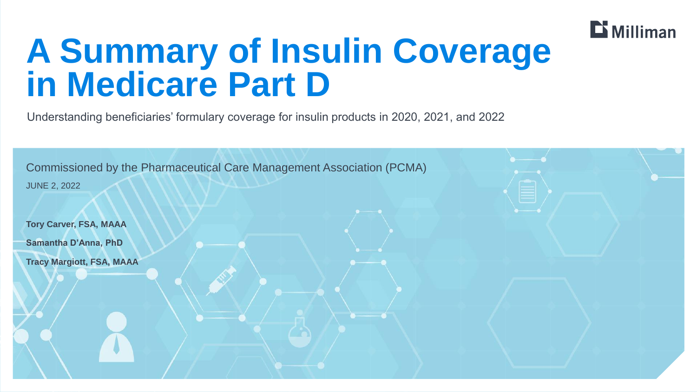

# **A Summary of Insulin Coverage in Medicare Part D**

Understanding beneficiaries' formulary coverage for insulin products in 2020, 2021, and 2022

| <b>JUNE 2, 2022</b>              | <b>Commissioned by the Pharmaceutical Care Management Association (PCMA)</b> |  |
|----------------------------------|------------------------------------------------------------------------------|--|
| <b>Tory Carver, FSA, MAAA</b>    |                                                                              |  |
| <b>Samantha D'Anna, PhD</b>      |                                                                              |  |
| <b>Tracy Margiott, FSA, MAAA</b> |                                                                              |  |
|                                  |                                                                              |  |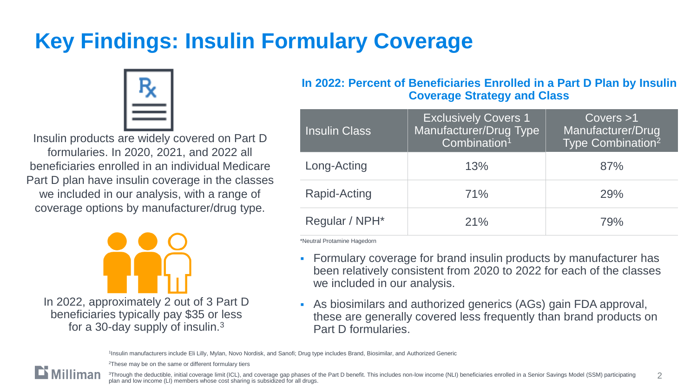## **Key Findings: Insulin Formulary Coverage**



Insulin products are widely covered on Part D formularies. In 2020, 2021, and 2022 all beneficiaries enrolled in an individual Medicare Part D plan have insulin coverage in the classes we included in our analysis, with a range of coverage options by manufacturer/drug type.



#### **In 2022: Percent of Beneficiaries Enrolled in a Part D Plan by Insulin Coverage Strategy and Class**

| <b>Insulin Class</b> | <b>Exclusively Covers 1</b><br>Manufacturer/Drug Type<br>Combination <sup>1</sup> | Covers > 1<br>Manufacturer/Drug<br>Type Combination <sup>2</sup> |
|----------------------|-----------------------------------------------------------------------------------|------------------------------------------------------------------|
| Long-Acting          | 13%                                                                               | 87%                                                              |
| <b>Rapid-Acting</b>  | 71%                                                                               | 29%                                                              |
| Regular / NPH*       | 21%                                                                               | <b>79%</b>                                                       |

\*Neutral Protamine Hagedorn

- **EXECT** Formulary coverage for brand insulin products by manufacturer has been relatively consistent from 2020 to 2022 for each of the classes we included in our analysis.
- As biosimilars and authorized generics (AGs) gain FDA approval, these are generally covered less frequently than brand products on Part D formularies.

1 Insulin manufacturers include Eli Lilly, Mylan, Novo Nordisk, and Sanofi; Drug type includes Brand, Biosimilar, and Authorized Generic

<sup>2</sup>These may be on the same or different formulary tiers



2 3Through the deductible, initial coverage limit (ICL), and coverage gap phases of the Part D benefit. This includes non-low income (NLI) beneficiaries enrolled in a Senior Savings Model (SSM) participating plan and low income (LI) members whose cost sharing is subsidized for all drugs.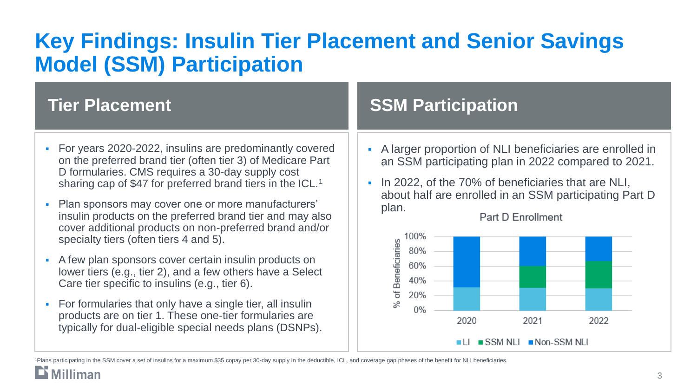### **Key Findings: Insulin Tier Placement and Senior Savings Model (SSM) Participation**

- For years 2020-2022, insulins are predominantly covered on the preferred brand tier (often tier 3) of Medicare Part D formularies. CMS requires a 30-day supply cost sharing cap of \$47 for preferred brand tiers in the ICL.<sup>1</sup>
- Plan sponsors may cover one or more manufacturers' insulin products on the preferred brand tier and may also cover additional products on non-preferred brand and/or specialty tiers (often tiers 4 and 5).
- A few plan sponsors cover certain insulin products on lower tiers (e.g., tier 2), and a few others have a Select Care tier specific to insulins (e.g., tier 6).
- For formularies that only have a single tier, all insulin products are on tier 1. These one-tier formularies are typically for dual-eligible special needs plans (DSNPs).

### **Tier Placement Construction Construction Construction Construction Construction Construction Construction Construction Construction Construction Construction Construction Construction Construction Construction Constructio**

- A larger proportion of NLI beneficiaries are enrolled in an SSM participating plan in 2022 compared to 2021.
- **IF 10 2022, of the 70% of beneficiaries that are NLI,** about half are enrolled in an SSM participating Part D plan.



Part D Enrollment

1Plans participating in the SSM cover a set of insulins for a maximum \$35 copay per 30-day supply in the deductible, ICL, and coverage gap phases of the benefit for NLI beneficiaries.

**Milliman**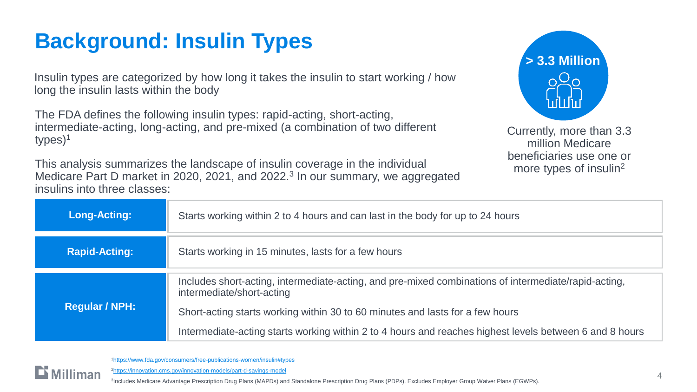### **Background: Insulin Types**

Insulin types are categorized by how long it takes the insulin to start working / how long the insulin lasts within the body

The FDA defines the following insulin types: rapid-acting, short-acting, intermediate-acting, long-acting, and pre-mixed (a combination of two different types)<sup>1</sup>

This analysis summarizes the landscape of insulin coverage in the individual Medicare Part D market in 2020, 2021, and 2022.<sup>3</sup> In our summary, we aggregated insulins into three classes:



Currently, more than 3.3 million Medicare beneficiaries use one or more types of insulin<sup>2</sup>

| Long-Acting:          | Starts working within 2 to 4 hours and can last in the body for up to 24 hours                                                    |  |
|-----------------------|-----------------------------------------------------------------------------------------------------------------------------------|--|
| <b>Rapid-Acting:</b>  | Starts working in 15 minutes, lasts for a few hours                                                                               |  |
| <b>Regular / NPH:</b> | Includes short-acting, intermediate-acting, and pre-mixed combinations of intermediate/rapid-acting,<br>intermediate/short-acting |  |
|                       | Short-acting starts working within 30 to 60 minutes and lasts for a few hours                                                     |  |
|                       | Intermediate-acting starts working within 2 to 4 hours and reaches highest levels between 6 and 8 hours                           |  |



<sup>1</sup><https://www.fda.gov/consumers/free-publications-women/insulin#types>

<sup>2</sup><https://innovation.cms.gov/innovation-models/part-d-savings-model>

3 Includes Medicare Advantage Prescription Drug Plans (MAPDs) and Standalone Prescription Drug Plans (PDPs). Excludes Employer Group Waiver Plans (EGWPs).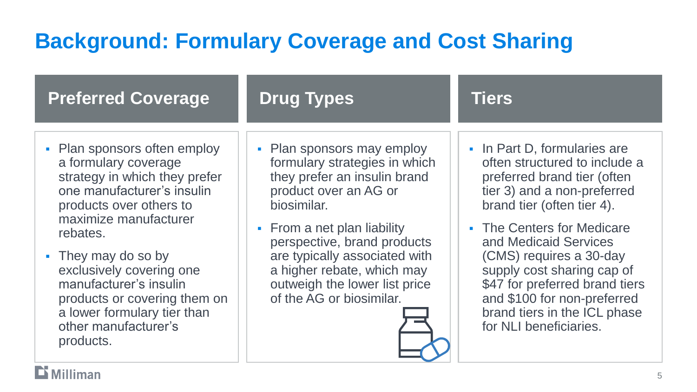### **Background: Formulary Coverage and Cost Sharing**

| <b>Preferred Coverage</b>                                                                                                                                                                                                                                                                                                                                            | <b>Drug Types</b>                                                                                                                                                                                                                                                                                                             | <b>Tiers</b>                                                                                                                                                                                                                                                                                                                                                                                         |
|----------------------------------------------------------------------------------------------------------------------------------------------------------------------------------------------------------------------------------------------------------------------------------------------------------------------------------------------------------------------|-------------------------------------------------------------------------------------------------------------------------------------------------------------------------------------------------------------------------------------------------------------------------------------------------------------------------------|------------------------------------------------------------------------------------------------------------------------------------------------------------------------------------------------------------------------------------------------------------------------------------------------------------------------------------------------------------------------------------------------------|
| • Plan sponsors often employ<br>a formulary coverage<br>strategy in which they prefer<br>one manufacturer's insulin<br>products over others to<br>maximize manufacturer<br>rebates.<br>• They may do so by<br>exclusively covering one<br>manufacturer's insulin<br>products or covering them on<br>a lower formulary tier than<br>other manufacturer's<br>products. | • Plan sponsors may employ<br>formulary strategies in which<br>they prefer an insulin brand<br>product over an AG or<br>biosimilar.<br>• From a net plan liability<br>perspective, brand products<br>are typically associated with<br>a higher rebate, which may<br>outweigh the lower list price<br>of the AG or biosimilar. | • In Part D, formularies are<br>often structured to include a<br>preferred brand tier (often<br>tier 3) and a non-preferred<br>brand tier (often tier 4).<br>• The Centers for Medicare<br>and Medicaid Services<br>(CMS) requires a 30-day<br>supply cost sharing cap of<br>\$47 for preferred brand tiers<br>and \$100 for non-preferred<br>brand tiers in the ICL phase<br>for NLI beneficiaries. |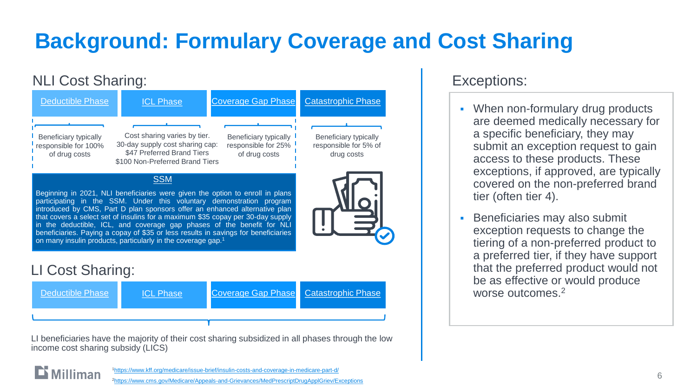## **Background: Formulary Coverage and Cost Sharing**

#### NLI Cost Sharing:





LI beneficiaries have the majority of their cost sharing subsidized in all phases through the low income cost sharing subsidy (LICS)

#### Exceptions:

- When non-formulary drug products are deemed medically necessary for a specific beneficiary, they may submit an exception request to gain access to these products. These exceptions, if approved, are typically covered on the non-preferred brand tier (often tier 4).
- **Beneficiaries may also submit** exception requests to change the tiering of a non-preferred product to a preferred tier, if they have support that the preferred product would not be as effective or would produce worse outcomes.<sup>2</sup>

 $\mathbf{D}$  Milliman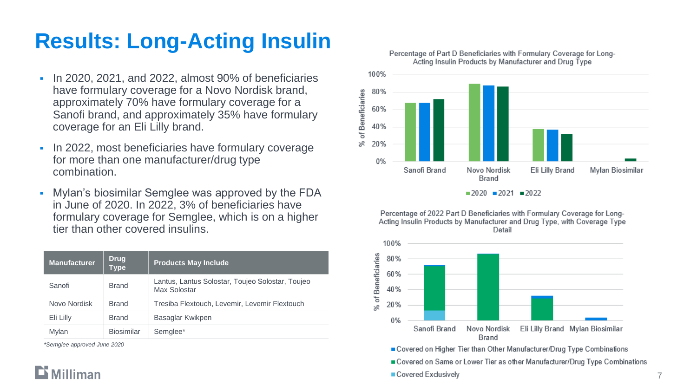### **Results: Long-Acting Insulin**

- In 2020, 2021, and 2022, almost 90% of beneficiaries have formulary coverage for a Novo Nordisk brand, approximately 70% have formulary coverage for a Sanofi brand, and approximately 35% have formulary coverage for an Eli Lilly brand.
- **In 2022, most beneficiaries have formulary coverage** for more than one manufacturer/drug type combination.
- Mylan's biosimilar Semglee was approved by the FDA in June of 2020. In 2022, 3% of beneficiaries have formulary coverage for Semglee, which is on a higher tier than other covered insulins.

| <b>Manufacturer</b> | <b>Drug</b><br><b>Type</b> | <b>Products May Include</b>                                      |
|---------------------|----------------------------|------------------------------------------------------------------|
| Sanofi              | <b>Brand</b>               | Lantus, Lantus Solostar, Toujeo Solostar, Toujeo<br>Max Solostar |
| Novo Nordisk        | <b>Brand</b>               | Tresiba Flextouch, Levemir, Levemir Flextouch                    |
| Eli Lilly           | <b>Brand</b>               | Basaglar Kwikpen                                                 |
| Mylan               | <b>Biosimilar</b>          | Semglee*                                                         |

*\*Semglee approved June 2020*





Percentage of 2022 Part D Beneficiaries with Formulary Coverage for Long-Acting Insulin Products by Manufacturer and Drug Type, with Coverage Type Detail



Covered on Higher Tier than Other Manufacturer/Drug Type Combinations

■ Covered on Same or Lower Tier as other Manufacturer/Drug Type Combinations

#### Covered Exclusively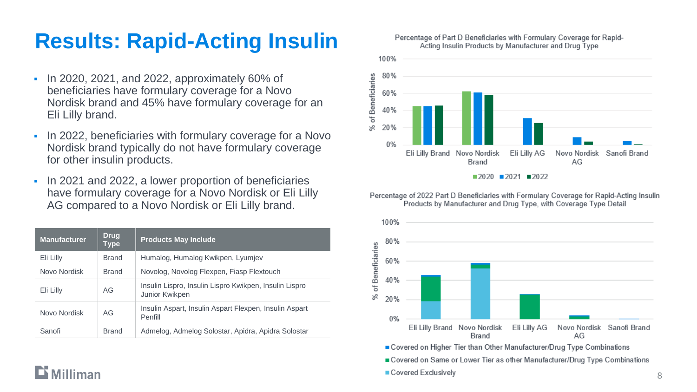### **Results: Rapid -Acting Insulin**

- In 2020, 2021, and 2022, approximately 60% of beneficiaries have formulary coverage for a Novo Nordisk brand and 45% have formulary coverage for an Eli Lilly brand.
- **In 2022, beneficiaries with formulary coverage for a Novo** Nordisk brand typically do not have formulary coverage for other insulin products.
- **IF 10 2021 and 2022, a lower proportion of beneficiaries** have formulary coverage for a Novo Nordisk or Eli Lilly AG compared to a Novo Nordisk or Eli Lilly brand.

| <b>Manufacturer</b> | <b>Drug</b><br>Type | <b>Products May Include</b>                                              |
|---------------------|---------------------|--------------------------------------------------------------------------|
| Eli Lilly           | <b>Brand</b>        | Humalog, Humalog Kwikpen, Lyumjev                                        |
| Novo Nordisk        | <b>Brand</b>        | Novolog, Novolog Flexpen, Fiasp Flextouch                                |
| Eli Lilly           | AG                  | Insulin Lispro, Insulin Lispro Kwikpen, Insulin Lispro<br>Junior Kwikpen |
| Novo Nordisk        | AG                  | Insulin Aspart, Insulin Aspart Flexpen, Insulin Aspart<br>Penfill        |
| Sanofi              | <b>Brand</b>        | Admelog, Admelog Solostar, Apidra, Apidra Solostar                       |





 $2020$  2021 2022

Percentage of 2022 Part D Beneficiaries with Formulary Coverage for Rapid-Acting Insulin Products by Manufacturer and Drug Type, with Coverage Type Detail



Covered Exclusively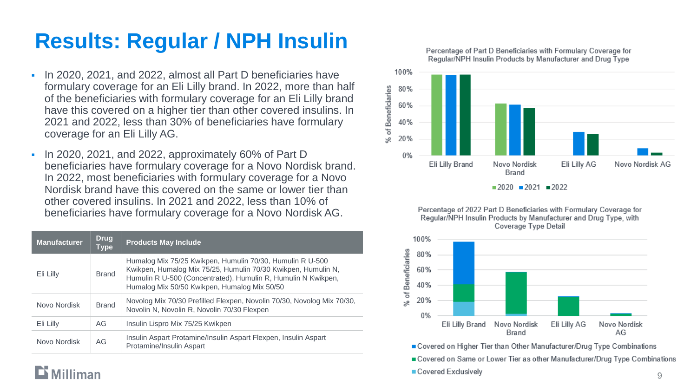### **Results: Regular / NPH Insulin**

- In 2020, 2021, and 2022, almost all Part D beneficiaries have formulary coverage for an Eli Lilly brand. In 2022, more than half of the beneficiaries with formulary coverage for an Eli Lilly brand have this covered on a higher tier than other covered insulins. In 2021 and 2022, less than 30% of beneficiaries have formulary coverage for an Eli Lilly AG.
- In 2020, 2021, and 2022, approximately 60% of Part D beneficiaries have formulary coverage for a Novo Nordisk brand. In 2022, most beneficiaries with formulary coverage for a Novo Nordisk brand have this covered on the same or lower tier than other covered insulins. In 2021 and 2022, less than 10% of beneficiaries have formulary coverage for a Novo Nordisk AG.

| <b>Manufacturer</b> | <b>Drug</b><br><b>Type</b> | <b>Products May Include</b>                                                                                                                                                                                                                 |
|---------------------|----------------------------|---------------------------------------------------------------------------------------------------------------------------------------------------------------------------------------------------------------------------------------------|
| Eli Lilly           | <b>Brand</b>               | Humalog Mix 75/25 Kwikpen, Humulin 70/30, Humulin R U-500<br>Kwikpen, Humalog Mix 75/25, Humulin 70/30 Kwikpen, Humulin N,<br>Humulin R U-500 (Concentrated), Humulin R, Humulin N Kwikpen,<br>Humalog Mix 50/50 Kwikpen, Humalog Mix 50/50 |
| Novo Nordisk        | <b>Brand</b>               | Novolog Mix 70/30 Prefilled Flexpen, Novolin 70/30, Novolog Mix 70/30,<br>Novolin N, Novolin R, Novolin 70/30 Flexpen                                                                                                                       |
| Eli Lilly           | AG                         | Insulin Lispro Mix 75/25 Kwikpen                                                                                                                                                                                                            |
| Novo Nordisk        | AG                         | Insulin Aspart Protamine/Insulin Aspart Flexpen, Insulin Aspart<br>Protamine/Insulin Aspart                                                                                                                                                 |





Percentage of 2022 Part D Beneficiaries with Formulary Coverage for Regular/NPH Insulin Products by Manufacturer and Drug Type, with Coverage Type Detail



■ Covered on Higher Tier than Other Manufacturer/Drug Type Combinations

■ Covered on Same or Lower Tier as other Manufacturer/Drug Type Combinations

Covered Exclusively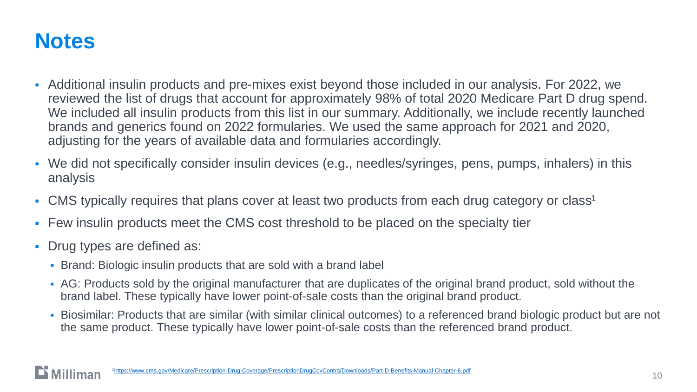### **Notes**

- Additional insulin products and pre-mixes exist beyond those included in our analysis. For 2022, we reviewed the list of drugs that account for approximately 98% of total 2020 Medicare Part D drug spend. We included all insulin products from this list in our summary. Additionally, we include recently launched brands and generics found on 2022 formularies. We used the same approach for 2021 and 2020, adjusting for the years of available data and formularies accordingly.
- We did not specifically consider insulin devices (e.g., needles/syringes, pens, pumps, inhalers) in this analysis
- CMS typically requires that plans cover at least two products from each drug category or class<sup>1</sup>
- Few insulin products meet the CMS cost threshold to be placed on the specialty tier
- Drug types are defined as:
	- Brand: Biologic insulin products that are sold with a brand label
	- AG: Products sold by the original manufacturer that are duplicates of the original brand product, sold without the brand label. These typically have lower point-of-sale costs than the original brand product.
	- Biosimilar: Products that are similar (with similar clinical outcomes) to a referenced brand biologic product but are not the same product. These typically have lower point-of-sale costs than the referenced brand product.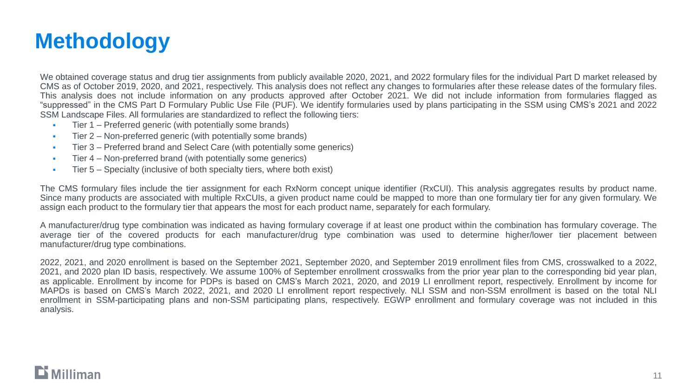### **Methodology**

We obtained coverage status and drug tier assignments from publicly available 2020, 2021, and 2022 formulary files for the individual Part D market released by CMS as of October 2019, 2020, and 2021, respectively. This analysis does not reflect any changes to formularies after these release dates of the formulary files. This analysis does not include information on any products approved after October 2021. We did not include information from formularies flagged as "suppressed" in the CMS Part D Formulary Public Use File (PUF). We identify formularies used by plans participating in the SSM using CMS's 2021 and 2022 SSM Landscape Files. All formularies are standardized to reflect the following tiers:

- Tier 1 Preferred generic (with potentially some brands)
- **•** Tier 2 Non-preferred generic (with potentially some brands)
- **•** Tier 3 Preferred brand and Select Care (with potentially some generics)
- **EXECT:** Tier 4 Non-preferred brand (with potentially some generics)
- **•** Tier 5 Specialty (inclusive of both specialty tiers, where both exist)

The CMS formulary files include the tier assignment for each RxNorm concept unique identifier (RxCUI). This analysis aggregates results by product name. Since many products are associated with multiple RxCUIs, a given product name could be mapped to more than one formulary tier for any given formulary. We assign each product to the formulary tier that appears the most for each product name, separately for each formulary.

A manufacturer/drug type combination was indicated as having formulary coverage if at least one product within the combination has formulary coverage. The average tier of the covered products for each manufacturer/drug type combination was used to determine higher/lower tier placement between manufacturer/drug type combinations.

2022, 2021, and 2020 enrollment is based on the September 2021, September 2020, and September 2019 enrollment files from CMS, crosswalked to a 2022, 2021, and 2020 plan ID basis, respectively. We assume 100% of September enrollment crosswalks from the prior year plan to the corresponding bid year plan, as applicable. Enrollment by income for PDPs is based on CMS's March 2021, 2020, and 2019 LI enrollment report, respectively. Enrollment by income for MAPDs is based on CMS's March 2022, 2021, and 2020 LI enrollment report respectively. NLI SSM and non-SSM enrollment is based on the total NLI enrollment in SSM-participating plans and non-SSM participating plans, respectively. EGWP enrollment and formulary coverage was not included in this analysis.

### $\mathbf{D}$  Milliman